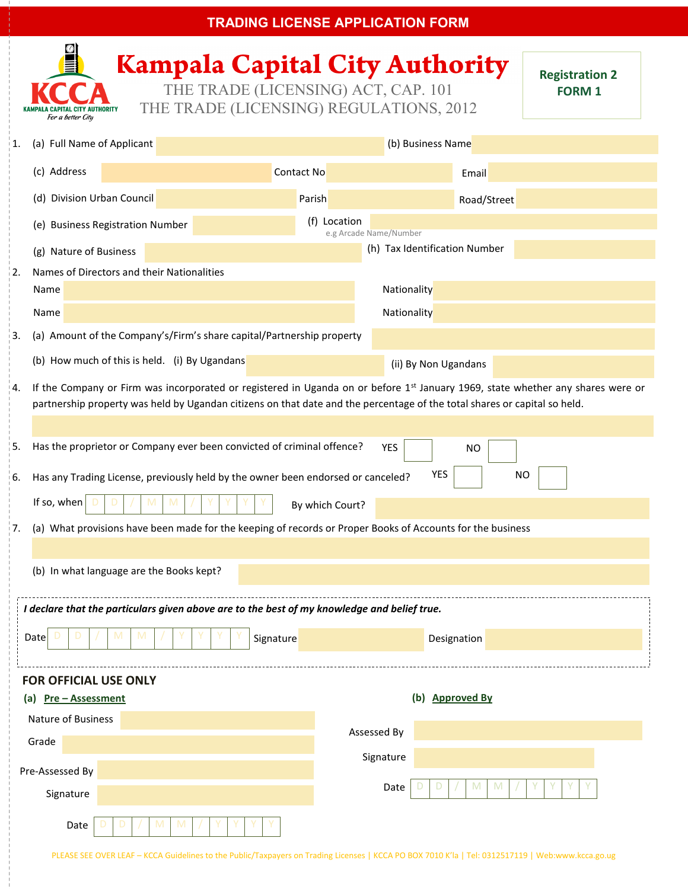| <b>TRADING LICENSE APPLICATION FORM</b>                                                                                                                                                |                                                                                                            |                                                                                                                                                                                                                                                                |                   |                               |                        |             |  |  |
|----------------------------------------------------------------------------------------------------------------------------------------------------------------------------------------|------------------------------------------------------------------------------------------------------------|----------------------------------------------------------------------------------------------------------------------------------------------------------------------------------------------------------------------------------------------------------------|-------------------|-------------------------------|------------------------|-------------|--|--|
| <b>Kampala Capital City Authority</b><br><b>Registration 2</b><br>THE TRADE (LICENSING) ACT, CAP. 101<br><b>FORM 1</b><br>THE TRADE (LICENSING) REGULATIONS, 2012<br>For a better City |                                                                                                            |                                                                                                                                                                                                                                                                |                   |                               |                        |             |  |  |
| 1.                                                                                                                                                                                     | (a) Full Name of Applicant                                                                                 |                                                                                                                                                                                                                                                                | (b) Business Name |                               |                        |             |  |  |
|                                                                                                                                                                                        | (c) Address                                                                                                |                                                                                                                                                                                                                                                                | Contact No        |                               |                        | Email       |  |  |
|                                                                                                                                                                                        | (d) Division Urban Council                                                                                 |                                                                                                                                                                                                                                                                | Parish            |                               |                        | Road/Street |  |  |
|                                                                                                                                                                                        | (e) Business Registration Number                                                                           |                                                                                                                                                                                                                                                                |                   | (f) Location                  | e.g Arcade Name/Number |             |  |  |
|                                                                                                                                                                                        | (g) Nature of Business                                                                                     |                                                                                                                                                                                                                                                                |                   | (h) Tax Identification Number |                        |             |  |  |
| 2.                                                                                                                                                                                     | Names of Directors and their Nationalities                                                                 |                                                                                                                                                                                                                                                                |                   |                               |                        |             |  |  |
|                                                                                                                                                                                        | Name                                                                                                       |                                                                                                                                                                                                                                                                |                   | Nationality                   |                        |             |  |  |
|                                                                                                                                                                                        | Name                                                                                                       |                                                                                                                                                                                                                                                                |                   |                               | Nationality            |             |  |  |
| 3.                                                                                                                                                                                     | (a) Amount of the Company's/Firm's share capital/Partnership property                                      |                                                                                                                                                                                                                                                                |                   |                               |                        |             |  |  |
|                                                                                                                                                                                        | (b) How much of this is held. (i) By Ugandans<br>(ii) By Non Ugandans                                      |                                                                                                                                                                                                                                                                |                   |                               |                        |             |  |  |
| 4.                                                                                                                                                                                     |                                                                                                            | If the Company or Firm was incorporated or registered in Uganda on or before $1st$ January 1969, state whether any shares were or<br>partnership property was held by Ugandan citizens on that date and the percentage of the total shares or capital so held. |                   |                               |                        |             |  |  |
|                                                                                                                                                                                        |                                                                                                            |                                                                                                                                                                                                                                                                |                   |                               |                        |             |  |  |
| 5.                                                                                                                                                                                     | Has the proprietor or Company ever been convicted of criminal offence?<br><b>YES</b><br><b>NO</b>          |                                                                                                                                                                                                                                                                |                   |                               |                        |             |  |  |
| 6.                                                                                                                                                                                     |                                                                                                            | YES<br><b>NO</b><br>Has any Trading License, previously held by the owner been endorsed or canceled?                                                                                                                                                           |                   |                               |                        |             |  |  |
|                                                                                                                                                                                        | If so, when<br>M<br>M<br>By which Court?                                                                   |                                                                                                                                                                                                                                                                |                   |                               |                        |             |  |  |
| 7.                                                                                                                                                                                     | (a) What provisions have been made for the keeping of records or Proper Books of Accounts for the business |                                                                                                                                                                                                                                                                |                   |                               |                        |             |  |  |
|                                                                                                                                                                                        |                                                                                                            |                                                                                                                                                                                                                                                                |                   |                               |                        |             |  |  |
| (b) In what language are the Books kept?                                                                                                                                               |                                                                                                            |                                                                                                                                                                                                                                                                |                   |                               |                        |             |  |  |
| I declare that the particulars given above are to the best of my knowledge and belief true.                                                                                            |                                                                                                            |                                                                                                                                                                                                                                                                |                   |                               |                        |             |  |  |
|                                                                                                                                                                                        | Date<br>Signature<br>Designation                                                                           |                                                                                                                                                                                                                                                                |                   |                               |                        |             |  |  |
| <b>FOR OFFICIAL USE ONLY</b>                                                                                                                                                           |                                                                                                            |                                                                                                                                                                                                                                                                |                   |                               |                        |             |  |  |
| (b) Approved By<br>(a) Pre - Assessment                                                                                                                                                |                                                                                                            |                                                                                                                                                                                                                                                                |                   |                               |                        |             |  |  |
| Nature of Business                                                                                                                                                                     |                                                                                                            |                                                                                                                                                                                                                                                                |                   |                               |                        |             |  |  |
|                                                                                                                                                                                        | Grade                                                                                                      |                                                                                                                                                                                                                                                                |                   | Assessed By                   |                        |             |  |  |
|                                                                                                                                                                                        | Pre-Assessed By                                                                                            |                                                                                                                                                                                                                                                                | Signature         |                               |                        |             |  |  |
|                                                                                                                                                                                        | Signature                                                                                                  |                                                                                                                                                                                                                                                                |                   |                               | Date                   |             |  |  |
| Date                                                                                                                                                                                   |                                                                                                            |                                                                                                                                                                                                                                                                |                   |                               |                        |             |  |  |